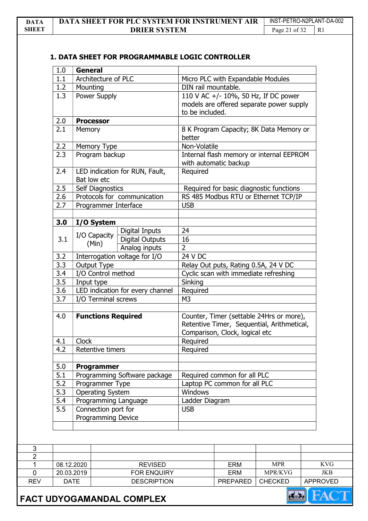## 1. DATA SHEET FOR PROGRAMMABLE LOGIC CONTROLLER

| 1.0 |                                             | <b>General</b>                                 |                                                           |                                                                                                                                      |                                         |                                                                                  |            |
|-----|---------------------------------------------|------------------------------------------------|-----------------------------------------------------------|--------------------------------------------------------------------------------------------------------------------------------------|-----------------------------------------|----------------------------------------------------------------------------------|------------|
| 1.1 | Architecture of PLC                         |                                                |                                                           |                                                                                                                                      | Micro PLC with Expandable Modules       |                                                                                  |            |
| 1.2 | Mounting                                    |                                                |                                                           | DIN rail mountable.                                                                                                                  |                                         |                                                                                  |            |
| 1.3 |                                             | Power Supply                                   |                                                           |                                                                                                                                      | to be included.                         | 110 V AC +/- 10%, 50 Hz, If DC power<br>models are offered separate power supply |            |
| 2.0 |                                             | <b>Processor</b>                               |                                                           |                                                                                                                                      |                                         |                                                                                  |            |
| 2.1 |                                             | <b>Memory</b>                                  |                                                           |                                                                                                                                      |                                         | 8 K Program Capacity; 8K Data Memory or                                          |            |
| 2.2 |                                             | Memory Type                                    |                                                           | Non-Volatile                                                                                                                         |                                         |                                                                                  |            |
| 2.3 |                                             | Program backup                                 |                                                           |                                                                                                                                      | with automatic backup                   | Internal flash memory or internal EEPROM                                         |            |
| 2.4 |                                             | LED indication for RUN, Fault,<br>Bat low etc  |                                                           |                                                                                                                                      |                                         |                                                                                  |            |
| 2.5 |                                             | Self Diagnostics                               |                                                           |                                                                                                                                      |                                         | Required for basic diagnostic functions                                          |            |
| 2.6 |                                             |                                                | Protocols for communication                               |                                                                                                                                      |                                         | RS 485 Modbus RTU or Ethernet TCP/IP                                             |            |
| 2.7 | Programmer Interface                        |                                                | <b>USB</b>                                                |                                                                                                                                      |                                         |                                                                                  |            |
| 3.0 |                                             | I/O System                                     |                                                           |                                                                                                                                      |                                         |                                                                                  |            |
| 3.1 |                                             | I/O Capacity<br>(Min)                          | Digital Inputs<br><b>Digital Outputs</b><br>Analog inputs | 24<br>16<br>$\overline{2}$                                                                                                           |                                         |                                                                                  |            |
| 3.2 |                                             |                                                | Interrogation voltage for I/O                             | 24 V DC                                                                                                                              |                                         |                                                                                  |            |
| 3.3 |                                             | Output Type                                    |                                                           | Relay Out puts, Rating 0.5A, 24 V DC                                                                                                 |                                         |                                                                                  |            |
| 3.4 |                                             | I/O Control method                             |                                                           | Cyclic scan with immediate refreshing                                                                                                |                                         |                                                                                  |            |
| 3.5 |                                             |                                                |                                                           | Sinking                                                                                                                              |                                         |                                                                                  |            |
| 3.6 |                                             | Input type<br>LED indication for every channel |                                                           | Required                                                                                                                             |                                         |                                                                                  |            |
| 3.7 |                                             | I/O Terminal screws                            |                                                           |                                                                                                                                      |                                         |                                                                                  |            |
| 4.0 |                                             | <b>Functions Required</b><br><b>Clock</b>      |                                                           | Counter, Timer (settable 24Hrs or more),<br>Retentive Timer, Sequential, Arithmetical,<br>Comparison, Clock, logical etc<br>Required |                                         |                                                                                  |            |
| 4.1 |                                             |                                                |                                                           |                                                                                                                                      |                                         |                                                                                  |            |
| 4.2 | Retentive timers                            |                                                | Required                                                  |                                                                                                                                      |                                         |                                                                                  |            |
| 5.0 | Programmer                                  |                                                |                                                           |                                                                                                                                      |                                         |                                                                                  |            |
| 5.1 |                                             | Programming Software package                   |                                                           |                                                                                                                                      | Required common for all PLC             |                                                                                  |            |
| 5.2 |                                             | Programmer Type                                |                                                           |                                                                                                                                      | Laptop PC common for all PLC<br>Windows |                                                                                  |            |
| 5.3 |                                             | <b>Operating System</b>                        |                                                           |                                                                                                                                      |                                         |                                                                                  |            |
| 5.4 | Programming Language<br>Connection port for |                                                | Ladder Diagram<br><b>USB</b>                              |                                                                                                                                      |                                         |                                                                                  |            |
| 5.5 |                                             |                                                |                                                           |                                                                                                                                      |                                         |                                                                                  |            |
|     | Programming Device                          |                                                |                                                           |                                                                                                                                      |                                         |                                                                                  |            |
|     |                                             |                                                |                                                           |                                                                                                                                      |                                         |                                                                                  |            |
|     |                                             |                                                |                                                           |                                                                                                                                      |                                         |                                                                                  |            |
|     |                                             |                                                |                                                           |                                                                                                                                      |                                         |                                                                                  |            |
|     | 08.12.2020                                  |                                                | <b>REVISED</b>                                            |                                                                                                                                      | <b>ERM</b>                              | <b>MPR</b>                                                                       | <b>KVG</b> |
|     | 20.03.2019                                  |                                                |                                                           |                                                                                                                                      | <b>ERM</b>                              | MPR/KVG                                                                          | <b>JKB</b> |
|     |                                             |                                                | FOR ENQUIRY                                               |                                                                                                                                      |                                         |                                                                                  |            |



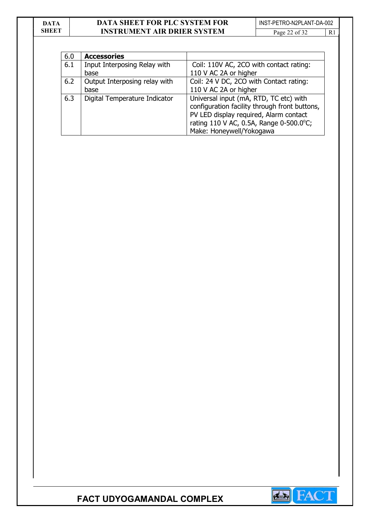| DATA  | <b>DATA SHEET FOR PLC SYSTEM FOR</b> | INST-PETRO-N2PLANT-DA-002 |     |  |
|-------|--------------------------------------|---------------------------|-----|--|
| SHEET | <b>INSTRUMENT AIR DRIER SYSTEM</b>   | Page 22 of 32             | -R1 |  |

| 6.0 | <b>Accessories</b>            |                                                                                                                                                                                                          |
|-----|-------------------------------|----------------------------------------------------------------------------------------------------------------------------------------------------------------------------------------------------------|
| 6.1 | Input Interposing Relay with  | Coil: 110V AC, 2CO with contact rating:                                                                                                                                                                  |
|     | base                          | 110 V AC 2A or higher                                                                                                                                                                                    |
| 6.2 | Output Interposing relay with | Coil: 24 V DC, 2CO with Contact rating:                                                                                                                                                                  |
|     | base                          | 110 V AC 2A or higher                                                                                                                                                                                    |
| 6.3 | Digital Temperature Indicator | Universal input (mA, RTD, TC etc) with<br>configuration facility through front buttons,<br>PV LED display required, Alarm contact<br>rating 110 V AC, 0.5A, Range 0-500.0°C;<br>Make: Honeywell/Yokogawa |